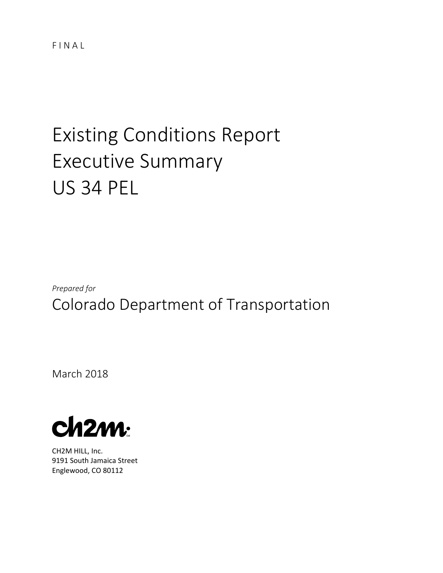FINAL

# Existing Conditions Report Executive Summary US 34 PEL

*Prepared for* Colorado Department of Transportation

March 2018



CH2M HILL, Inc. 9191 South Jamaica Street Englewood, CO 80112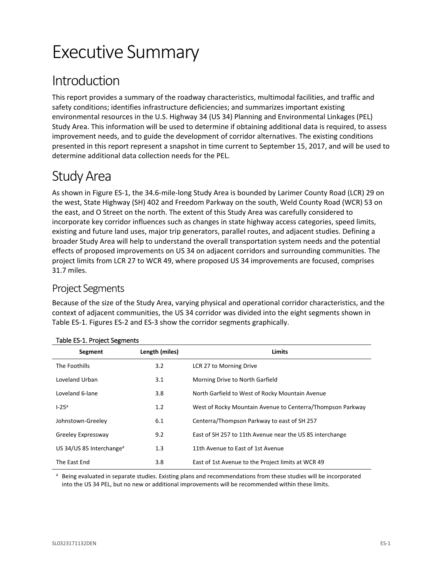# Executive Summary

# Introduction

This report provides a summary of the roadway characteristics, multimodal facilities, and traffic and safety conditions; identifies infrastructure deficiencies; and summarizes important existing environmental resources in the U.S. Highway 34 (US 34) Planning and Environmental Linkages (PEL) Study Area. This information will be used to determine if obtaining additional data is required, to assess improvement needs, and to guide the development of corridor alternatives. The existing conditions presented in this report represent a snapshot in time current to September 15, 2017, and will be used to determine additional data collection needs for the PEL.

# Study Area

As shown in Figure ES-1, the 34.6-mile-long Study Area is bounded by Larimer County Road (LCR) 29 on the west, State Highway (SH) 402 and Freedom Parkway on the south, Weld County Road (WCR) 53 on the east, and O Street on the north. The extent of this Study Area was carefully considered to incorporate key corridor influences such as changes in state highway access categories, speed limits, existing and future land uses, major trip generators, parallel routes, and adjacent studies. Defining a broader Study Area will help to understand the overall transportation system needs and the potential effects of proposed improvements on US 34 on adjacent corridors and surrounding communities. The project limits from LCR 27 to WCR 49, where proposed US 34 improvements are focused, comprises 31.7 miles.

# Project Segments

Because of the size of the Study Area, varying physical and operational corridor characteristics, and the context of adjacent communities, the US 34 corridor was divided into the eight segments shown in Table ES-1. Figures ES-2 and ES-3 show the corridor segments graphically.

| Segment                              | Length (miles) | <b>Limits</b>                                              |
|--------------------------------------|----------------|------------------------------------------------------------|
| The Foothills                        | 3.2            | LCR 27 to Morning Drive                                    |
| Loveland Urban                       | 3.1            | Morning Drive to North Garfield                            |
| Loveland 6-lane                      | 3.8            | North Garfield to West of Rocky Mountain Avenue            |
| $1-25a$                              | 1.2            | West of Rocky Mountain Avenue to Centerra/Thompson Parkway |
| Johnstown-Greeley                    | 6.1            | Centerra/Thompson Parkway to east of SH 257                |
| Greeley Expressway                   | 9.2            | East of SH 257 to 11th Avenue near the US 85 interchange   |
| US 34/US 85 Interchange <sup>a</sup> | 1.3            | 11th Avenue to East of 1st Avenue                          |
| The East End                         | 3.8            | East of 1st Avenue to the Project limits at WCR 49         |

### Table ES-1. Project Segments

a Being evaluated in separate studies. Existing plans and recommendations from these studies will be incorporated into the US 34 PEL, but no new or additional improvements will be recommended within these limits.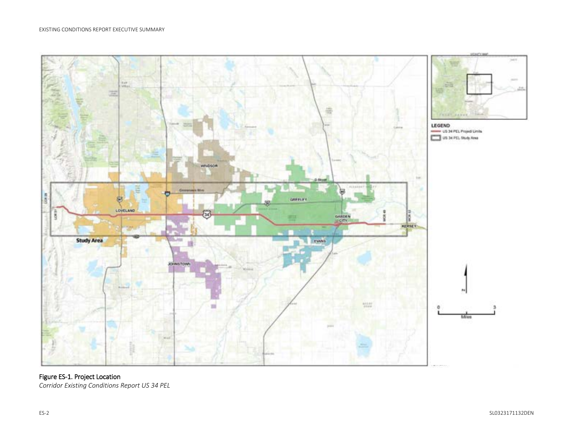

#### Figure ES-1. Project Location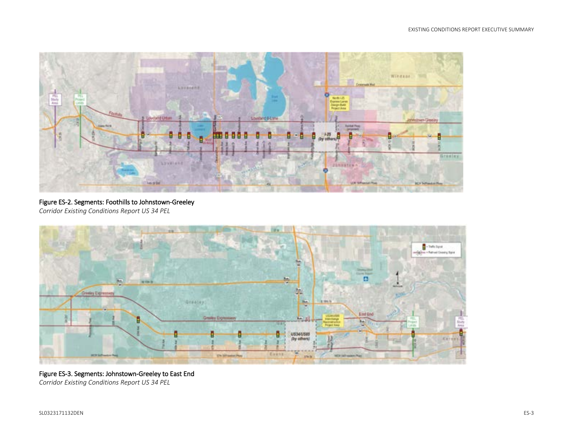

#### Figure ES-2. Segments: Foothills to Johnstown-Greeley

*Corridor Existing Conditions Report US 34 PEL*



#### Figure ES-3. Segments: Johnstown-Greeley to East End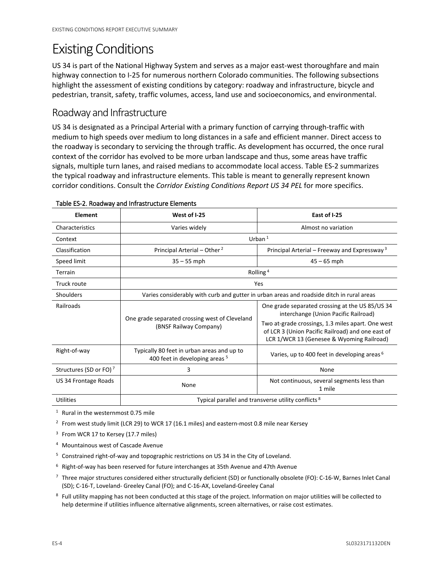# Existing Conditions

US 34 is part of the National Highway System and serves as a major east-west thoroughfare and main highway connection to I-25 for numerous northern Colorado communities. The following subsections highlight the assessment of existing conditions by category: roadway and infrastructure, bicycle and pedestrian, transit, safety, traffic volumes, access, land use and socioeconomics, and environmental.

# Roadway and Infrastructure

US 34 is designated as a Principal Arterial with a primary function of carrying through-traffic with medium to high speeds over medium to long distances in a safe and efficient manner. Direct access to the roadway is secondary to servicing the through traffic. As development has occurred, the once rural context of the corridor has evolved to be more urban landscape and thus, some areas have traffic signals, multiple turn lanes, and raised medians to accommodate local access. Table ES-2 summarizes the typical roadway and infrastructure elements. This table is meant to generally represent known corridor conditions. Consult the *Corridor Existing Conditions Report US 34 PEL* for more specifics.

| Element                            | West of I-25                                                                              | East of I-25                                                                                                                                        |  |  |
|------------------------------------|-------------------------------------------------------------------------------------------|-----------------------------------------------------------------------------------------------------------------------------------------------------|--|--|
| Characteristics                    | Varies widely                                                                             | Almost no variation                                                                                                                                 |  |  |
| Context                            | Urban $1$                                                                                 |                                                                                                                                                     |  |  |
| Classification                     | Principal Arterial - Other <sup>2</sup>                                                   | Principal Arterial – Freeway and Expressway <sup>3</sup>                                                                                            |  |  |
| Speed limit                        | $35 - 55$ mph                                                                             | $45 - 65$ mph                                                                                                                                       |  |  |
| Terrain                            | Rolling <sup>4</sup>                                                                      |                                                                                                                                                     |  |  |
| Truck route                        | Yes                                                                                       |                                                                                                                                                     |  |  |
| Shoulders                          | Varies considerably with curb and gutter in urban areas and roadside ditch in rural areas |                                                                                                                                                     |  |  |
| Railroads                          |                                                                                           | One grade separated crossing at the US 85/US 34<br>interchange (Union Pacific Railroad)                                                             |  |  |
|                                    | One grade separated crossing west of Cleveland<br>(BNSF Railway Company)                  | Two at-grade crossings, 1.3 miles apart. One west<br>of LCR 3 (Union Pacific Railroad) and one east of<br>LCR 1/WCR 13 (Genesee & Wyoming Railroad) |  |  |
| Right-of-way                       | Typically 80 feet in urban areas and up to<br>400 feet in developing areas <sup>5</sup>   | Varies, up to 400 feet in developing areas <sup>6</sup>                                                                                             |  |  |
| Structures (SD or FO) <sup>7</sup> | 3                                                                                         | None                                                                                                                                                |  |  |
| US 34 Frontage Roads               | None                                                                                      | Not continuous, several segments less than<br>1 mile                                                                                                |  |  |
| Utilities                          | Typical parallel and transverse utility conflicts <sup>8</sup>                            |                                                                                                                                                     |  |  |

#### Table ES-2. Roadway and Infrastructure Elements

<sup>1</sup> Rural in the westernmost 0.75 mile

<sup>2</sup> From west study limit (LCR 29) to WCR 17 (16.1 miles) and eastern-most 0.8 mile near Kersey

<sup>3</sup> From WCR 17 to Kersey (17.7 miles)

- <sup>4</sup> Mountainous west of Cascade Avenue
- <sup>5</sup> Constrained right-of-way and topographic restrictions on US 34 in the City of Loveland.
- <sup>6</sup> Right-of-way has been reserved for future interchanges at 35th Avenue and 47th Avenue
- 7 Three major structures considered either structurally deficient (SD) or functionally obsolete (FO): C-16-W, Barnes Inlet Canal (SD); C-16-T, Loveland- Greeley Canal (FO); and C-16-AX, Loveland-Greeley Canal
- <sup>8</sup> Full utility mapping has not been conducted at this stage of the project. Information on major utilities will be collected to help determine if utilities influence alternative alignments, screen alternatives, or raise cost estimates.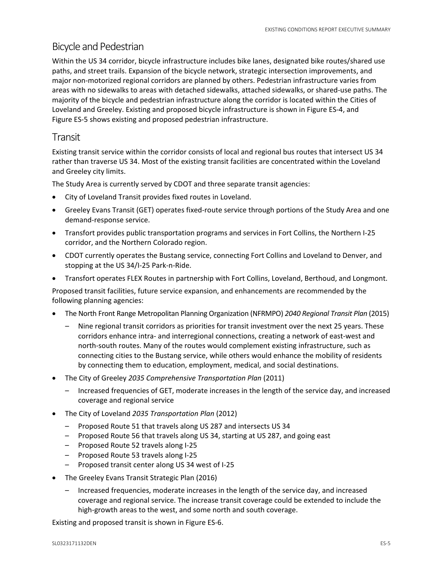## Bicycle and Pedestrian

Within the US 34 corridor, bicycle infrastructure includes bike lanes, designated bike routes/shared use paths, and street trails. Expansion of the bicycle network, strategic intersection improvements, and major non-motorized regional corridors are planned by others. Pedestrian infrastructure varies from areas with no sidewalks to areas with detached sidewalks, attached sidewalks, or shared-use paths. The majority of the bicycle and pedestrian infrastructure along the corridor is located within the Cities of Loveland and Greeley. Existing and proposed bicycle infrastructure is shown in Figure ES-4, and Figure ES-5 shows existing and proposed pedestrian infrastructure.

### Transit

Existing transit service within the corridor consists of local and regional bus routes that intersect US 34 rather than traverse US 34. Most of the existing transit facilities are concentrated within the Loveland and Greeley city limits.

The Study Area is currently served by CDOT and three separate transit agencies:

- City of Loveland Transit provides fixed routes in Loveland.
- Greeley Evans Transit (GET) operates fixed-route service through portions of the Study Area and one demand-response service.
- Transfort provides public transportation programs and services in Fort Collins, the Northern I-25 corridor, and the Northern Colorado region.
- CDOT currently operates the Bustang service, connecting Fort Collins and Loveland to Denver, and stopping at the US 34/I-25 Park-n-Ride.
- Transfort operates FLEX Routes in partnership with Fort Collins, Loveland, Berthoud, and Longmont.

Proposed transit facilities, future service expansion, and enhancements are recommended by the following planning agencies:

- The North Front Range Metropolitan Planning Organization (NFRMPO) *2040 Regional Transit Plan* (2015)
	- Nine regional transit corridors as priorities for transit investment over the next 25 years. These corridors enhance intra- and interregional connections, creating a network of east-west and north-south routes. Many of the routes would complement existing infrastructure, such as connecting cities to the Bustang service, while others would enhance the mobility of residents by connecting them to education, employment, medical, and social destinations.
- The City of Greeley *2035 Comprehensive Transportation Plan* (2011)
	- Increased frequencies of GET, moderate increases in the length of the service day, and increased coverage and regional service
- The City of Loveland *2035 Transportation Plan* (2012)
	- Proposed Route 51 that travels along US 287 and intersects US 34
	- Proposed Route 56 that travels along US 34, starting at US 287, and going east
	- Proposed Route 52 travels along I-25
	- Proposed Route 53 travels along I-25
	- Proposed transit center along US 34 west of I-25
- The Greeley Evans Transit Strategic Plan (2016)
	- Increased frequencies, moderate increases in the length of the service day, and increased coverage and regional service. The increase transit coverage could be extended to include the high-growth areas to the west, and some north and south coverage.

Existing and proposed transit is shown in Figure ES-6.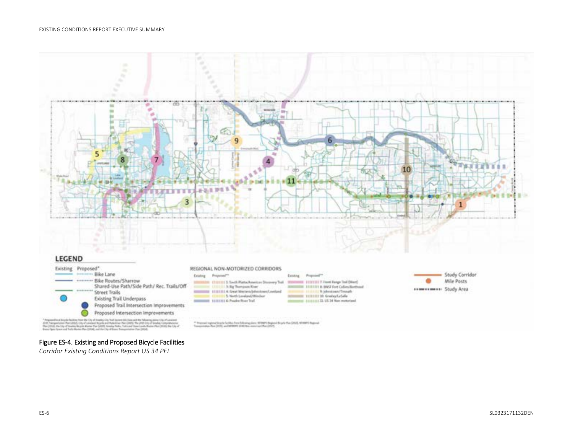

#### Figure ES-4. Existing and Proposed Bicycle Facilities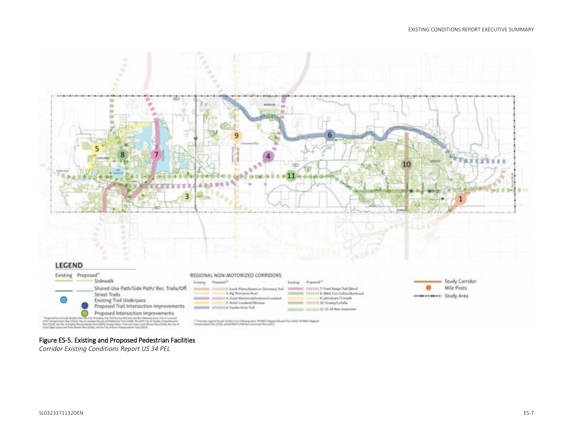

#### Figure ES-5. Existing and Proposed Pedestrian Facilities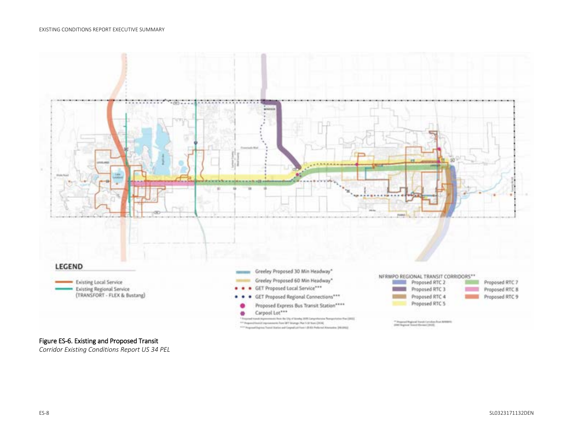

#### Figure ES-6. Existing and Proposed Transit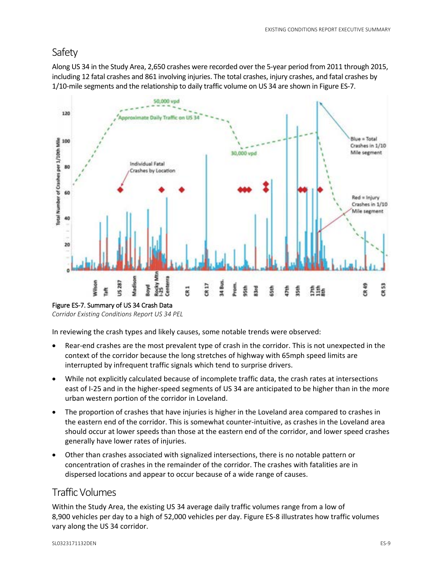# Safety

Along US 34 in the Study Area, 2,650 crashes were recorded over the 5-year period from 2011 through 2015, including 12 fatal crashes and 861 involving injuries. The total crashes, injury crashes, and fatal crashes by 1/10-mile segments and the relationship to daily traffic volume on US 34 are shown in Figure ES-7.



Figure ES-7. Summary of US 34 Crash Data

*Corridor Existing Conditions Report US 34 PEL*

In reviewing the crash types and likely causes, some notable trends were observed:

- Rear-end crashes are the most prevalent type of crash in the corridor. This is not unexpected in the context of the corridor because the long stretches of highway with 65mph speed limits are interrupted by infrequent traffic signals which tend to surprise drivers.
- While not explicitly calculated because of incomplete traffic data, the crash rates at intersections east of I-25 and in the higher-speed segments of US 34 are anticipated to be higher than in the more urban western portion of the corridor in Loveland.
- The proportion of crashes that have injuries is higher in the Loveland area compared to crashes in the eastern end of the corridor. This is somewhat counter-intuitive, as crashes in the Loveland area should occur at lower speeds than those at the eastern end of the corridor, and lower speed crashes generally have lower rates of injuries.
- Other than crashes associated with signalized intersections, there is no notable pattern or concentration of crashes in the remainder of the corridor. The crashes with fatalities are in dispersed locations and appear to occur because of a wide range of causes.

# Traffic Volumes

Within the Study Area, the existing US 34 average daily traffic volumes range from a low of 8,900 vehicles per day to a high of 52,000 vehicles per day. Figure ES-8 illustrates how traffic volumes vary along the US 34 corridor.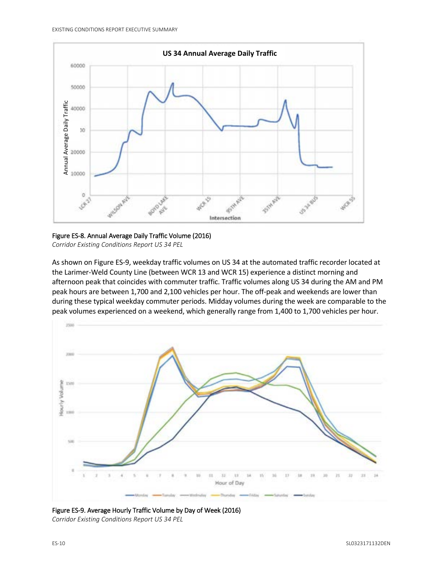

Figure ES-8. Annual Average Daily Traffic Volume (2016) *Corridor Existing Conditions Report US 34 PEL*

As shown on Figure ES-9, weekday traffic volumes on US 34 at the automated traffic recorder located at the Larimer-Weld County Line (between WCR 13 and WCR 15) experience a distinct morning and afternoon peak that coincides with commuter traffic. Traffic volumes along US 34 during the AM and PM peak hours are between 1,700 and 2,100 vehicles per hour. The off-peak and weekends are lower than during these typical weekday commuter periods. Midday volumes during the week are comparable to the peak volumes experienced on a weekend, which generally range from 1,400 to 1,700 vehicles per hour.



Figure ES-9. Average Hourly Traffic Volume by Day of Week (2016) *Corridor Existing Conditions Report US 34 PEL*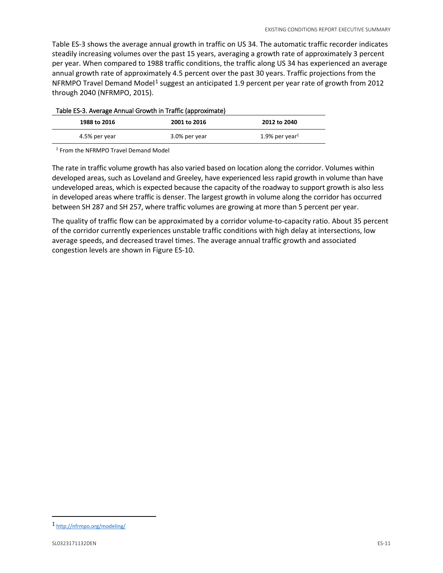Table ES-3 shows the average annual growth in traffic on US 34. The automatic traffic recorder indicates steadily increasing volumes over the past 15 years, averaging a growth rate of approximately 3 percent per year. When compared to 1988 traffic conditions, the traffic along US 34 has experienced an average annual growth rate of approximately 4.5 percent over the past 30 years. Traffic projections from the NFRMPO Travel Demand Model<sup>[1](#page-12-0)</sup> suggest an anticipated 1.9 percent per year rate of growth from 2012 through 2040 (NFRMPO, 2015).

| Table ES-3. Average Annual Growth in Traffic (approximate). |                   |
|-------------------------------------------------------------|-------------------|
| 2001 to 2016                                                | 2012 to 2040      |
| 3.0% per year                                               | 1.9% per year $1$ |
|                                                             |                   |

Table ES-3. Average Annual Growth in Traffic (approximate)

<sup>1</sup> From the NFRMPO Travel Demand Model

The rate in traffic volume growth has also varied based on location along the corridor. Volumes within developed areas, such as Loveland and Greeley, have experienced less rapid growth in volume than have undeveloped areas, which is expected because the capacity of the roadway to support growth is also less in developed areas where traffic is denser. The largest growth in volume along the corridor has occurred between SH 287 and SH 257, where traffic volumes are growing at more than 5 percent per year.

The quality of traffic flow can be approximated by a corridor volume-to-capacity ratio. About 35 percent of the corridor currently experiences unstable traffic conditions with high delay at intersections, low average speeds, and decreased travel times. The average annual traffic growth and associated congestion levels are shown in Figure ES-10.

l

<span id="page-12-0"></span><sup>1</sup> <http://nfrmpo.org/modeling/>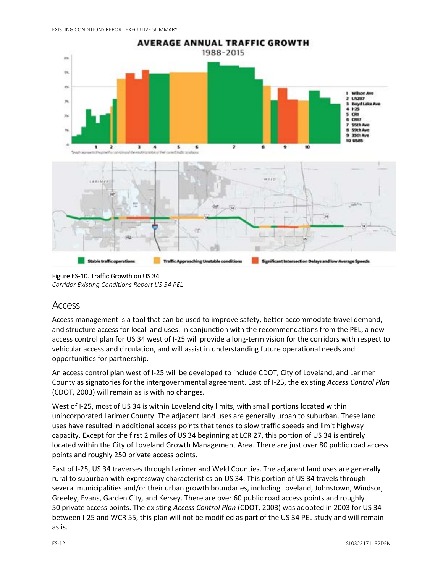

Figure ES-10. Traffic Growth on US 34

*Corridor Existing Conditions Report US 34 PEL*

### Access

Access management is a tool that can be used to improve safety, better accommodate travel demand, and structure access for local land uses. In conjunction with the recommendations from the PEL, a new access control plan for US 34 west of I-25 will provide a long-term vision for the corridors with respect to vehicular access and circulation, and will assist in understanding future operational needs and opportunities for partnership.

An access control plan west of I-25 will be developed to include CDOT, City of Loveland, and Larimer County as signatories for the intergovernmental agreement. East of I-25, the existing *Access Control Plan* (CDOT, 2003) will remain as is with no changes.

West of I-25, most of US 34 is within Loveland city limits, with small portions located within unincorporated Larimer County. The adjacent land uses are generally urban to suburban. These land uses have resulted in additional access points that tends to slow traffic speeds and limit highway capacity. Except for the first 2 miles of US 34 beginning at LCR 27, this portion of US 34 is entirely located within the City of Loveland Growth Management Area. There are just over 80 public road access points and roughly 250 private access points.

East of I-25, US 34 traverses through Larimer and Weld Counties. The adjacent land uses are generally rural to suburban with expressway characteristics on US 34. This portion of US 34 travels through several municipalities and/or their urban growth boundaries, including Loveland, Johnstown, Windsor, Greeley, Evans, Garden City, and Kersey. There are over 60 public road access points and roughly 50 private access points. The existing *Access Control Plan* (CDOT, 2003) was adopted in 2003 for US 34 between I-25 and WCR 55, this plan will not be modified as part of the US 34 PEL study and will remain as is.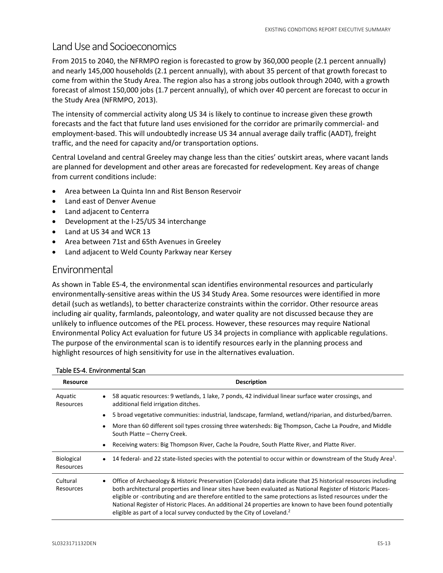### Land Use and Socioeconomics

From 2015 to 2040, the NFRMPO region is forecasted to grow by 360,000 people (2.1 percent annually) and nearly 145,000 households (2.1 percent annually), with about 35 percent of that growth forecast to come from within the Study Area. The region also has a strong jobs outlook through 2040, with a growth forecast of almost 150,000 jobs (1.7 percent annually), of which over 40 percent are forecast to occur in the Study Area (NFRMPO, 2013).

The intensity of commercial activity along US 34 is likely to continue to increase given these growth forecasts and the fact that future land uses envisioned for the corridor are primarily commercial- and employment-based. This will undoubtedly increase US 34 annual average daily traffic (AADT), freight traffic, and the need for capacity and/or transportation options.

Central Loveland and central Greeley may change less than the cities' outskirt areas, where vacant lands are planned for development and other areas are forecasted for redevelopment. Key areas of change from current conditions include:

- Area between La Quinta Inn and Rist Benson Reservoir
- Land east of Denver Avenue
- Land adjacent to Centerra
- Development at the I-25/US 34 interchange
- Land at US 34 and WCR 13
- Area between 71st and 65th Avenues in Greeley
- Land adjacent to Weld County Parkway near Kersey

### Environmental

As shown in Table ES-4, the environmental scan identifies environmental resources and particularly environmentally-sensitive areas within the US 34 Study Area. Some resources were identified in more detail (such as wetlands), to better characterize constraints within the corridor. Other resource areas including air quality, farmlands, paleontology, and water quality are not discussed because they are unlikely to influence outcomes of the PEL process. However, these resources may require National Environmental Policy Act evaluation for future US 34 projects in compliance with applicable regulations. The purpose of the environmental scan is to identify resources early in the planning process and highlight resources of high sensitivity for use in the alternatives evaluation.

| <b>Resource</b>         | <b>Description</b>                                                                                                                                                                                                                                                                                                                                                                                                                                                                                                                               |
|-------------------------|--------------------------------------------------------------------------------------------------------------------------------------------------------------------------------------------------------------------------------------------------------------------------------------------------------------------------------------------------------------------------------------------------------------------------------------------------------------------------------------------------------------------------------------------------|
| Aquatic<br>Resources    | 58 aquatic resources: 9 wetlands, 1 lake, 7 ponds, 42 individual linear surface water crossings, and<br>additional field irrigation ditches.                                                                                                                                                                                                                                                                                                                                                                                                     |
|                         | 5 broad vegetative communities: industrial, landscape, farmland, wetland/riparian, and disturbed/barren.                                                                                                                                                                                                                                                                                                                                                                                                                                         |
|                         | More than 60 different soil types crossing three watersheds: Big Thompson, Cache La Poudre, and Middle<br>South Platte - Cherry Creek.                                                                                                                                                                                                                                                                                                                                                                                                           |
|                         | Receiving waters: Big Thompson River, Cache la Poudre, South Platte River, and Platte River.<br>$\bullet$                                                                                                                                                                                                                                                                                                                                                                                                                                        |
| Biological<br>Resources | 14 federal- and 22 state-listed species with the potential to occur within or downstream of the Study Area <sup>1</sup> .<br>$\bullet$                                                                                                                                                                                                                                                                                                                                                                                                           |
| Cultural<br>Resources   | • Office of Archaeology & Historic Preservation (Colorado) data indicate that 25 historical resources including<br>both architectural properties and linear sites have been evaluated as National Register of Historic Places-<br>eligible or -contributing and are therefore entitled to the same protections as listed resources under the<br>National Register of Historic Places. An additional 24 properties are known to have been found potentially<br>eligible as part of a local survey conducted by the City of Loveland. <sup>2</sup> |

#### Table ES-4. Environmental Scan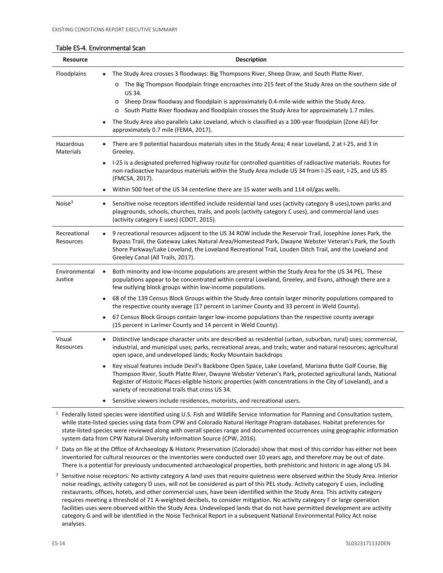#### Table ES-4. Environmental Scan

| <b>Resource</b>           | <b>Description</b>                                                                                                                                                                                                                                                                                                                                                                       |
|---------------------------|------------------------------------------------------------------------------------------------------------------------------------------------------------------------------------------------------------------------------------------------------------------------------------------------------------------------------------------------------------------------------------------|
| Floodplains               | The Study Area crosses 3 floodways: Big Thompsons River, Sheep Draw, and South Platte River.                                                                                                                                                                                                                                                                                             |
|                           | The Big Thompson floodplain fringe encroaches into 215 feet of the Study Area on the southern side of<br>$\circ$<br>US 34.                                                                                                                                                                                                                                                               |
|                           | Sheep Draw floodway and floodplain is approximately 0.4-mile-wide within the Study Area.<br>$\circ$<br>South Platte River floodway and floodplain crosses the Study Area for approximately 1.7 miles.<br>$\circ$                                                                                                                                                                         |
|                           | The Study Area also parallels Lake Loveland, which is classified as a 100-year floodplain (Zone AE) for<br>approximately 0.7 mile (FEMA, 2017).                                                                                                                                                                                                                                          |
| Hazardous<br>Materials    | There are 9 potential hazardous materials sites in the Study Area; 4 near Loveland, 2 at I-25, and 3 in<br>Greeley.                                                                                                                                                                                                                                                                      |
|                           | I-25 is a designated preferred highway route for controlled quantities of radioactive materials. Routes for<br>non-radioactive hazardous materials within the Study Area include US 34 from I-25 east, I-25, and US 85<br>(FMCSA, 2017).                                                                                                                                                 |
|                           | Within 500 feet of the US 34 centerline there are 15 water wells and 114 oil/gas wells.                                                                                                                                                                                                                                                                                                  |
| Noise $3$                 | Sensitive noise receptors identified include residential land uses (activity category B uses), town parks and<br>$\bullet$<br>playgrounds, schools, churches, trails, and pools (activity category C uses), and commercial land uses<br>(activity category E uses) (CDOT, 2015).                                                                                                         |
| Recreational<br>Resources | 9 recreational resources adjacent to the US 34 ROW include the Reservoir Trail, Josephine Jones Park, the<br>Bypass Trail, the Gateway Lakes Natural Area/Homestead Park, Dwayne Webster Veteran's Park, the South<br>Shore Parkway/Lake Loveland, the Loveland Recreational Trail, Louden Ditch Trail, and the Loveland and<br>Greeley Canal (All Trails, 2017).                        |
| Environmental<br>Justice  | Both minority and low-income populations are present within the Study Area for the US 34 PEL. These<br>$\bullet$<br>populations appear to be concentrated within central Loveland, Greeley, and Evans, although there are a<br>few outlying block groups within low-income populations.                                                                                                  |
|                           | 68 of the 139 Census Block Groups within the Study Area contain larger minority populations compared to<br>$\bullet$<br>the respective county average (17 percent in Larimer County and 33 percent in Weld County).                                                                                                                                                                      |
|                           | 67 Census Block Groups contain larger low-income populations than the respective county average<br>(15 percent in Larimer County and 14 percent in Weld County).                                                                                                                                                                                                                         |
| Visual<br>Resources       | Distinctive landscape character units are described as residential (urban, suburban, rural) uses; commercial,<br>industrial, and municipal uses; parks, recreational areas, and trails; water and natural resources; agricultural<br>open space, and undeveloped lands; Rocky Mountain backdrops                                                                                         |
|                           | Key visual features include Devil's Backbone Open Space, Lake Loveland, Mariana Butte Golf Course, Big<br>Thompson River, South Platte River, Dwayne Webster Veteran's Park, protected agricultural lands, National<br>Register of Historic Places-eligible historic properties (with concentrations in the City of Loveland), and a<br>variety of recreational trails that cross US 34. |
|                           | Sensitive viewers include residences, motorists, and recreational users.                                                                                                                                                                                                                                                                                                                 |
|                           | $1$ Federally listed species were identified using U.S. Fish and Wildlife Service Information for Planning and Consultation system,                                                                                                                                                                                                                                                      |

 $1$  Federally listed species were identified using U.S. Fish and Wildlife Service [Information for Planning and Consultation s](https://www.fws.gov/southeast/conservation-tools/information-for-planning-and-consultation/)ystem, while state-listed species using data from CPW and Colorado Natural Heritage Program databases. Habitat preferences for state-listed species were reviewed along with overall species range and documented occurrences using geographic information system data from CPW Natural Diversity Information Source (CPW, 2016).

<sup>2</sup> Data on file at the Office of Archaeology & Historic Preservation (Colorado) show that most of this corridor has either not been inventoried for cultural resources or the inventories were conducted over 10 years ago, and therefore may be out of date. There is a potential for previously undocumented archaeological properties, both prehistoric and historic in age along US 34.

 $3$  Sensitive noise receptors: No activity category A land uses that require quietness were observed within the Study Area. Interior noise readings, activity category D uses, will not be considered as part of this PEL study. Activity category E uses, including restaurants, offices, hotels, and other commercial uses, have been identified within the Study Area. This activity category requires meeting a threshold of 71 A-weighted decibels, to consider mitigation. No activity category F or large operation facilities uses were observed within the Study Area. Undeveloped lands that do not have permitted development are activity category G and will be identified in the Noise Technical Report in a subsequent National Environmental Policy Act noise analyses.